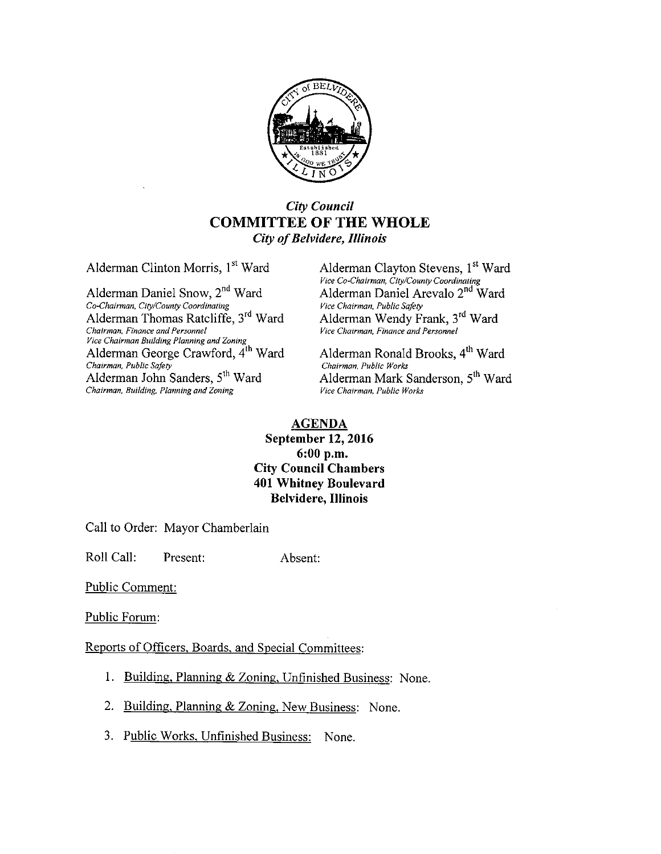

## City Council COMMITTEE OF THE WHOLE City of Belvidere, Illinois

Alderman Clinton Morris, 1<sup>st</sup> Ward Alderman Clayton Stevens, 1<sup>st</sup> Ward

Alderman Daniel Snow, 2<sup>nd</sup> Ward Alderman Daniel Arevalo 2. Alderman Daniel Arevalo 2. Alderman Public Safety Co-Chairman, City/County Coordinating The Chairman, Public Safety Alderman Thomas Ratcliffe, 3<sup>rd</sup> Ward Alderman Wendy Frank, 3<sup>rd</sup> Ward Chairman, Finance and Personnel Vice Chairman, Finance and Personnel vice Chairman Building Planning and Zoning<br>Alderman George Crawford, 4<sup>th</sup> Ward Alderman Ronald Brooks, 4<sup>th</sup> Ward Chairman, Public Safety<br>
Chairman, Public Safety<br>
Alderman John Sanders, 5<sup>th</sup> Ward Alderman Mark S Chairman, Building, Planning and Zoning

Vice Co-Chairman, City/County Coordinating<br>Alderman Daniel Arevalo 2<sup>nd</sup> Ward

Alderman Mark Sanderson, 5<sup>th</sup> Ward Vice Chairman, Public Works

#### AGENDA

September 12, 2016 6: 00 p.m. City Council Chambers 401 Whitney Boulevard Belvidere, Illinois

Call to Order: Mayor Chamberlain

Roll Call: Present: Absent:

Public Comment:

Public Forum:

Reports of Officers, Boards, and Special Committees:

- 1. Building, Planning & Zoning, Unfinished Business: None.
- 2. Building, Planning & Zoning, New Business: None.
- 3. Public Works, Unfinished Business: None.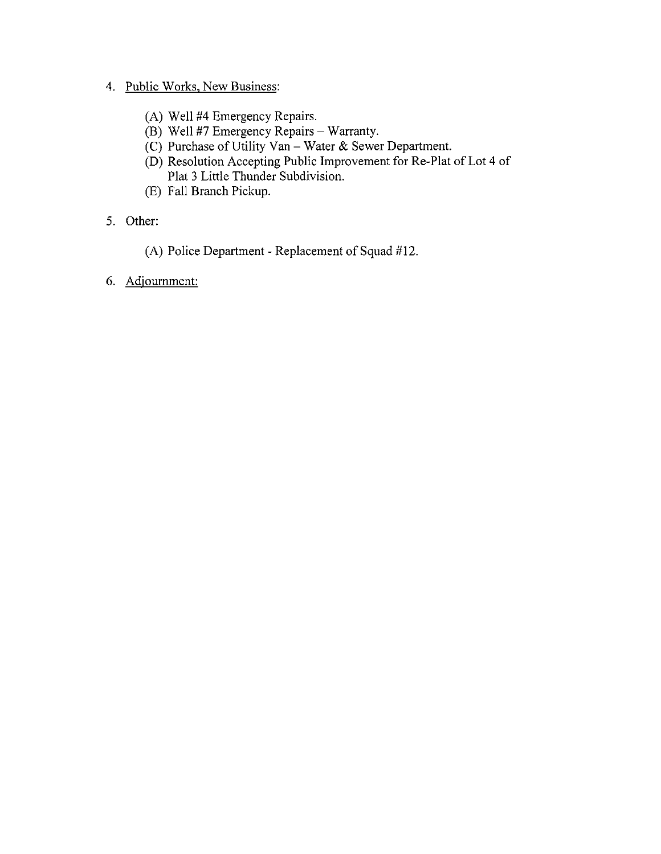## 4. Public Works, New Business:

- A) Well #4 Emergency Repairs.
- B) Well #7 Emergency Repairs— Warranty.
- $(C)$  Purchase of Utility Van Water & Sewer Department.
- D) Resolution Accepting Public Improvement for Re-Plat of Lot 4 of Plat <sup>3</sup> Little Thunder Subdivision.
- E) Fall Branch Pickup.
- 5. Other:
	- (A) Police Department Replacement of Squad  $#12$ .
- 6. Adjournment: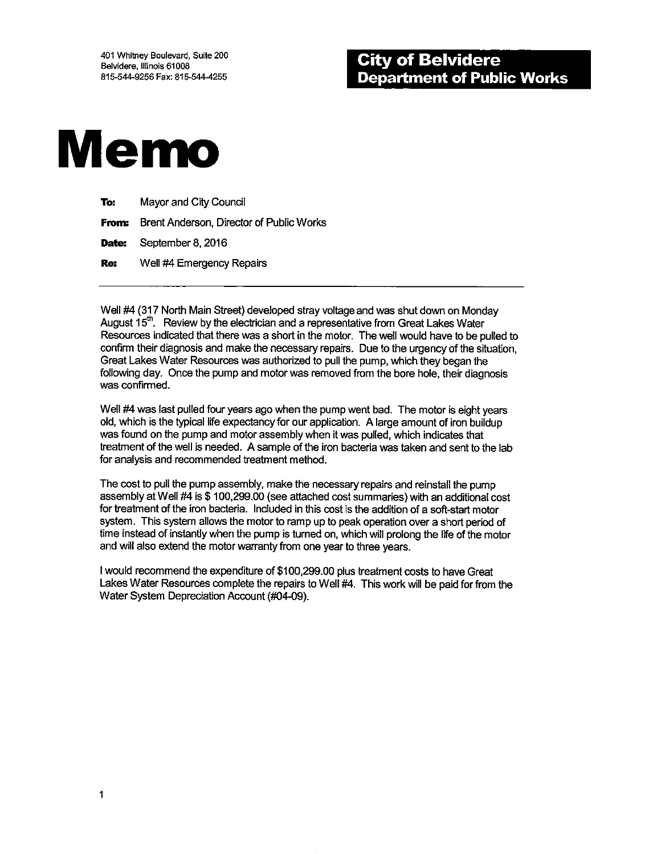

| To: | Mayor and City Council                                |
|-----|-------------------------------------------------------|
|     | <b>From:</b> Brent Anderson, Director of Public Works |
|     | Date: September 8, 2016                               |
| Re: | Well #4 Emergency Repairs                             |

Well #4 (317 North Main Street) developed stray voltage and was shut down on Monday August  $15^{\text{th}}$ . Review by the electrician and a representative from Great Lakes Water Resources indicated that there was a short in the motor. The well would have to be pulled to confirm their diagnosis and make the necessary repairs. Due to the urgency of the situation, Great Lakes Water Resources was authorized to pull the pump, which they began the following day. Once the pump and motor was removed from the bore hole, their diagnosis was confirmed.

Well #4 was last pulled four years ago when the pump went bad. The motor is eight years old, which is the typical fife expectancy for our application. A large amount of iron buildup was found on the pump and motor assembly when it was pulled, which indicates that treatment of the well is needed. A sample of the iron bacteria was taken and sent to the lab for analysis and recommended treatment method.

The cost to pull the pump assembly, make the necessary repairs and reinstall the pump assembly at Well #4 is \$ 100, 299.00 (see attached cost summaries) with an additional cost for treatment of the iron bacteria. Included in this cost is the addition of a soft-start motor system. This system allows the motor to ramp up to peak operation over a short period of time instead of instantly when the pump is turned on, which will prolong the fife of the motor and will also extend the motor warranty from one year to three years.

I would recommend the expenditure of \$100,299.00 plus treatment costs to have Great Lakes Water Resources complete the repairs to Well #4. This work will be paid for from the Water System Depreciation Account (#04-09).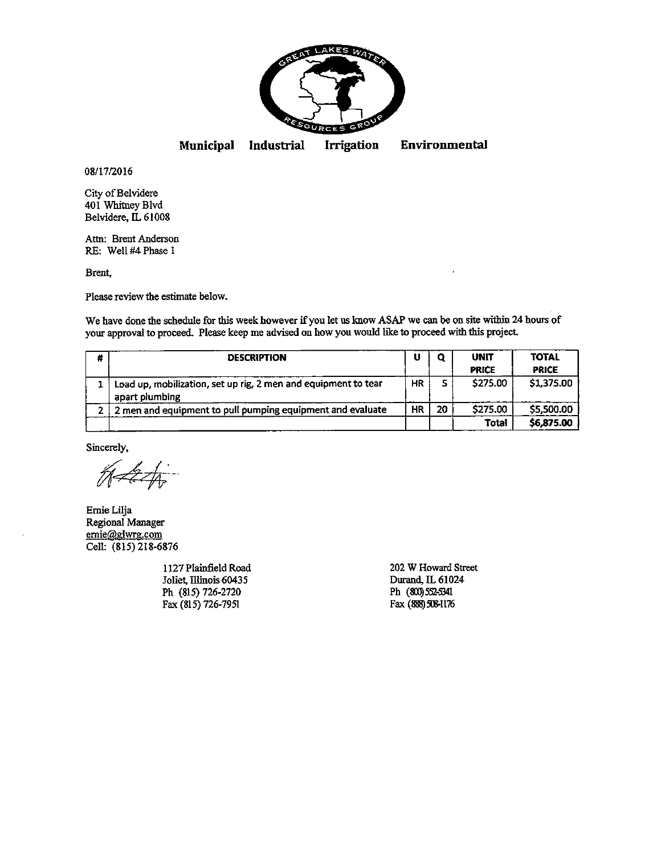

Municipal Industrial Irrigation Environmental

08/17/2016

City of Belvidere 401 Whitney Blvd Belvidere, IL 61008

Attn: Brent Anderson RE: Well #4 Phase 1

Brent,

Please review the estimate below.

We have done the schedule for this week however if you let us know ASAP we can be on site within <sup>24</sup> hours of your approval to proceed. Please keep me advised on how you would like to proceed with this project

| # | <b>DESCRIPTION</b>                                                               | υ  | ο  | <b>UNIT</b><br><b>PRICE</b> | <b>TOTAL</b><br><b>PRICE</b> |
|---|----------------------------------------------------------------------------------|----|----|-----------------------------|------------------------------|
|   | Load up, mobilization, set up rig, 2 men and equipment to tear<br>apart plumbing | HR | 5  | \$275.00                    | \$1,375.00                   |
|   | 2 men and equipment to pull pumping equipment and evaluate                       | HR | 20 | \$275.00                    | \$5,500.00                   |
|   |                                                                                  |    |    | Total                       | \$6,875.00                   |

Sincerely,

م<br>أكرا

Ernie Lilja Regional Manager emie@glwrg.com Cell: (815) 218-6876

Joliet, Illinois 60435 Durand, EL 61024 Ph (815) 726-2720<br>
Fax (815) 726-7951 Ph (800) 552-5341<br>
Fax (888) 508-1176 Fax (815) 726-7951

1127 Plainfield Road 202 W Howard Street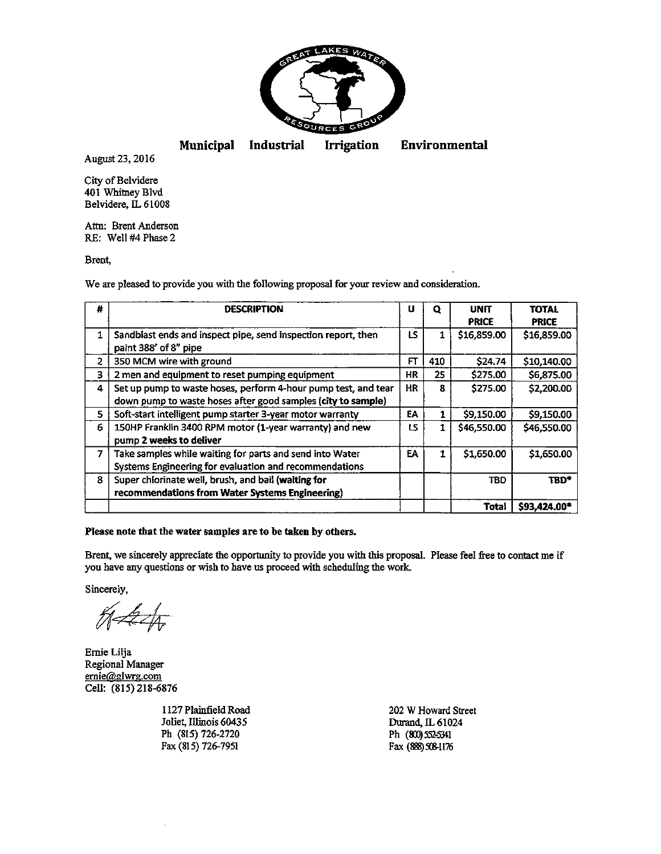

Municipal Industrial Irrigation Environmental

August 23, 2016

City of Belvidere 401 Whitney Blvd Belvidere, IL 61008

Atm: Brent Anderson RE: Well #4 Phase 2

Brent,

We are pleased to provide you with the following proposal for your review and consideration.

| #            | <b>DESCRIPTION</b>                                                                                                             | U         | o   | UNIT<br><b>PRICE</b> | <b>TOTAL</b><br><b>PRICE</b> |
|--------------|--------------------------------------------------------------------------------------------------------------------------------|-----------|-----|----------------------|------------------------------|
| $\mathbf{1}$ | Sandblast ends and inspect pipe, send inspection report, then<br>paint 388' of 8" pipe                                         | LS.       | 1   | \$16,859.00          | \$16,859.00                  |
| 2            | 350 MCM wire with ground                                                                                                       | FT        | 410 | \$24.74              | \$10,140.00                  |
| 3            | 2 men and equipment to reset pumping equipment                                                                                 | ΗR        | 25  | \$275.00             | \$6,875.00                   |
| 4            | Set up pump to waste hoses, perform 4-hour pump test, and tear<br>down pump to waste hoses after good samples (city to sample) | <b>HR</b> | 8   | \$275.00             | \$2,200.00                   |
| 5            | Soft-start intelligent pump starter 3-year motor warranty                                                                      | ΕA        | 1   | \$9,150.00           | \$9,150.00                   |
| 6            | 150HP Franklin 3400 RPM motor (1-year warranty) and new<br>pump 2 weeks to deliver                                             | LS.       | 1   | \$46,550.00          | \$46,550.00                  |
| 7            | Take samples while waiting for parts and send into Water<br>Systems Engineering for evaluation and recommendations             | EA.       | 1   | \$1,650.00           | \$1,650.00                   |
| 8            | Super chlorinate well, brush, and bail (waiting for<br>recommendations from Water Systems Engineering)                         |           |     | <b>TBD</b>           | TBD*                         |
|              |                                                                                                                                |           |     | Total                | \$93,424.00*                 |

Please note that the water samples are to be taken by others.

Brent, we sincerely appreciate the opportunity to provide you with this proposal. Please feel free to contact me if you have any questions or wish to have us proceed with scheduling the work.<br>Sincerely,<br> $\frac{1}{\sqrt{1-\frac{1}{\sqrt{1-\frac{1}{\sqrt{1-\frac{1}{\sqrt{1-\frac{1}{\sqrt{1-\frac{1}{\sqrt{1-\frac{1}{\sqrt{1-\frac{1}{\sqrt{1-\frac{1}{\sqrt{1-\frac{1}{\sqrt{1-\frac{1}{\sqrt{1-\frac{1}{\sqrt{1-\frac{1}{\sqrt{1-\frac{1}{\sqrt{1-\frac{1}{\sqrt{$ 

Sincerely

 $\mathscr{H}$ 

Ernie Lilja Regional Manager ernie@glwrg.com Cell: (815) 218-6876

1127 Plainfield Road 202 W Howard Street Joliet, Illinois 60435<br>
Ph (815) 726-2720<br>
Ph (80) 552-5341 Ph (815) 726-2720<br>
Fax (815) 726-7951 **Ph (80) 52-5341**<br>
Fax (888) 508-1176 Fax (815) 726-7951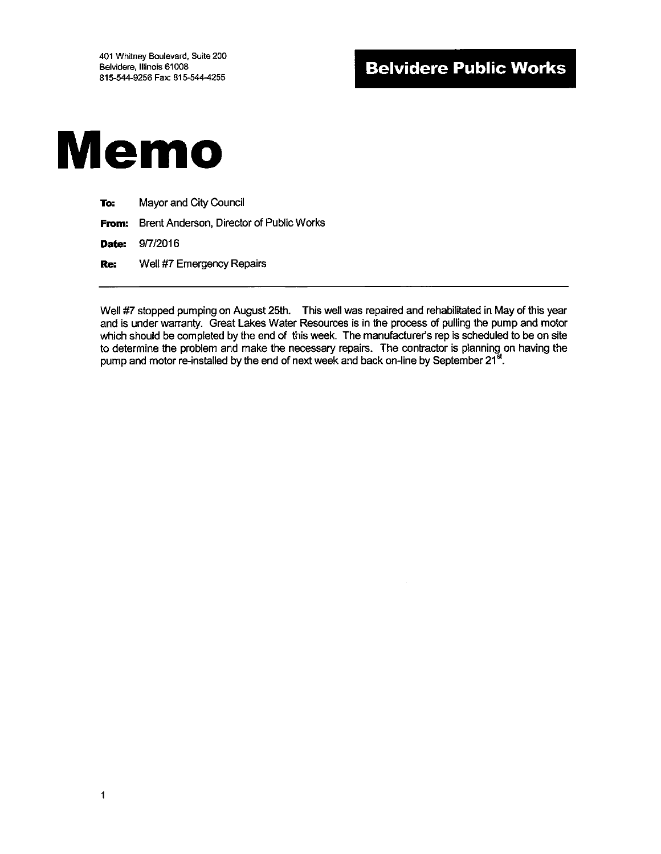

| To: | Mayor and City Council                                |
|-----|-------------------------------------------------------|
|     | <b>From:</b> Brent Anderson, Director of Public Works |
|     | <b>Date: 9/7/2016</b>                                 |
| Re: | Well #7 Emergency Repairs                             |

Well #7 stopped pumping on August 25th. This well was repaired and rehabilitated in May of this year and is under warranty. Great Lakes Water Resources is in the process of pulling the pump and motor which should be completed by the end of this week. The manufacturer's rep is scheduled to be on site to determine the problem and make the necessary repairs. The contractor is planning on having the pump and motor re-installed by the end of next week and back on-line by September  $21^{st}$ .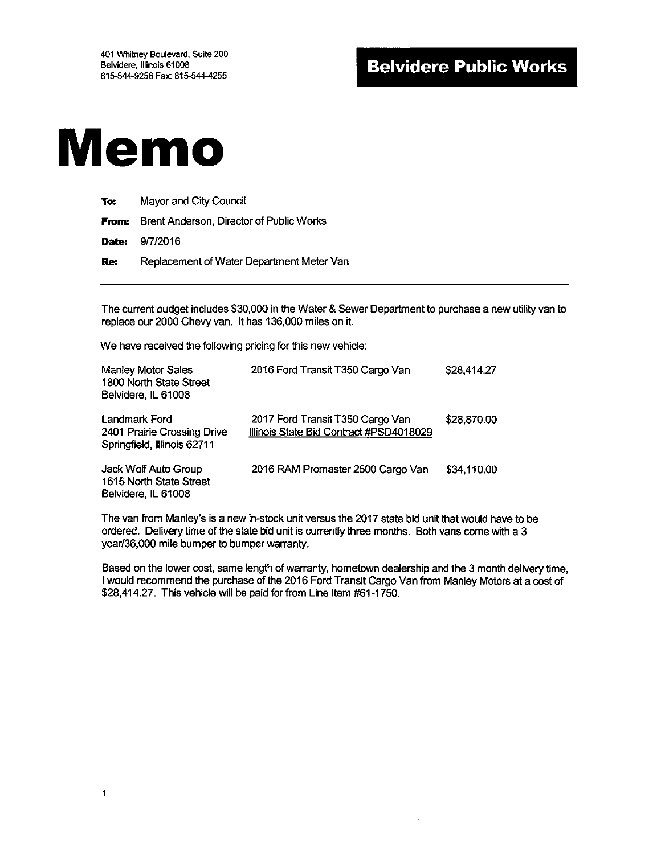# Memo

| To: | Mayor and City Council |
|-----|------------------------|
|-----|------------------------|

From: Brent Anderson, Director of Public Works

Date: 9/7/2016

Re: Replacement of Water Department Meter Van

The current budget includes \$30,000 in the Water & Sewer Department to purchase a new utility van to replace our 2000 Chevy van. It has 136,000 miles on it.

We have received the following pricing for this new vehicle:

| <b>Manley Motor Sales</b><br>1800 North State Street<br>Belvidere, IL 61008 | 2016 Ford Transit T350 Cargo Van                                            | \$28,414.27 |
|-----------------------------------------------------------------------------|-----------------------------------------------------------------------------|-------------|
| Landmark Ford<br>2401 Prairie Crossing Drive<br>Springfield, Illinois 62711 | 2017 Ford Transit T350 Cargo Van<br>Illinois State Bid Contract #PSD4018029 | \$28,870.00 |
| Jack Wolf Auto Group<br>1615 North State Street<br>Belvidere, IL 61008      | 2016 RAM Promaster 2500 Cargo Van                                           | \$34,110.00 |

The van from Manley's is a new in-stock unit versus the 2017 state bid unit that would have to be ordered. Delivery time of the state bid unit is currently three months. Both vans come with a 3 year/36,000 mile bumper to bumper warranty.

Based on the lower cost, same length of warranty, hometown dealership and the 3 month delivery time, <sup>I</sup> would recommend the purchase of the 2016 Ford Transit Cargo Van from Manley Motors at a cost of \$28,414.27. This vehicle will be paid for from Line Item #61-1750.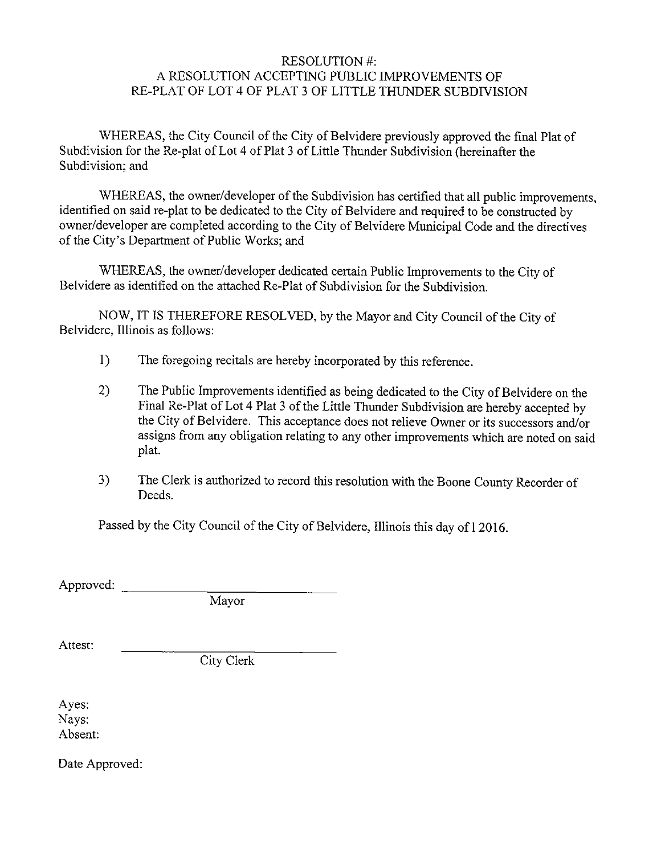#### RESOLUTION#: A RESOLUTION ACCEPTING PUBLIC IMPROVEMENTS OF RE-PLAT OF LOT 4 OF PLAT <sup>3</sup> OF LITTLE THUNDER SUBDIVISION

WHEREAS, the City Council of the City of Belvidere previously approved the final Plat of Subdivision for the Re-plat of Lot 4 of Plat 3 of Little Thunder Subdivision (hereinafter the Subdivision; and

WHEREAS, the owner/developer of the Subdivision has certified that all public improvements, identified on said re-plat to be dedicated to the City of Belvidere and required to be constructed by owner/developer are completed according to the City of Belvidere Municipal Code and the directives of the City's Department of Public Works; and

WHEREAS, the owner/developer dedicated certain Public Improvements to the City of Belvidere as identified on the attached Re-Plat of Subdivision for the Subdivision.

NOW, IT IS THEREFORE RESOLVED, by the Mayor and City Council of the City of Belvidere, Illinois as follows:

- 1) The foregoing recitals are hereby incorporated by this reference.
- 2) The Public Improvements identified as being dedicated to the City of Belvidere on the Final Re-Plat of Lot 4 Plat <sup>3</sup> of the Little Thunder Subdivision are hereby accepted by the City of Belvidere. This acceptance does not relieve Owner or its successors and/or assigns from any obligation relating to any other improvements which are noted on said plat.
- 3) The Clerk is authorized to record this resolution with the Boone County Recorder of Deeds.

Passed by the City Council of the City of Belvidere, Illinois this day of 12016.

Approved:

Mayor

Attest:

City Clerk

Ayes: Nays: Absent:

Date Approved: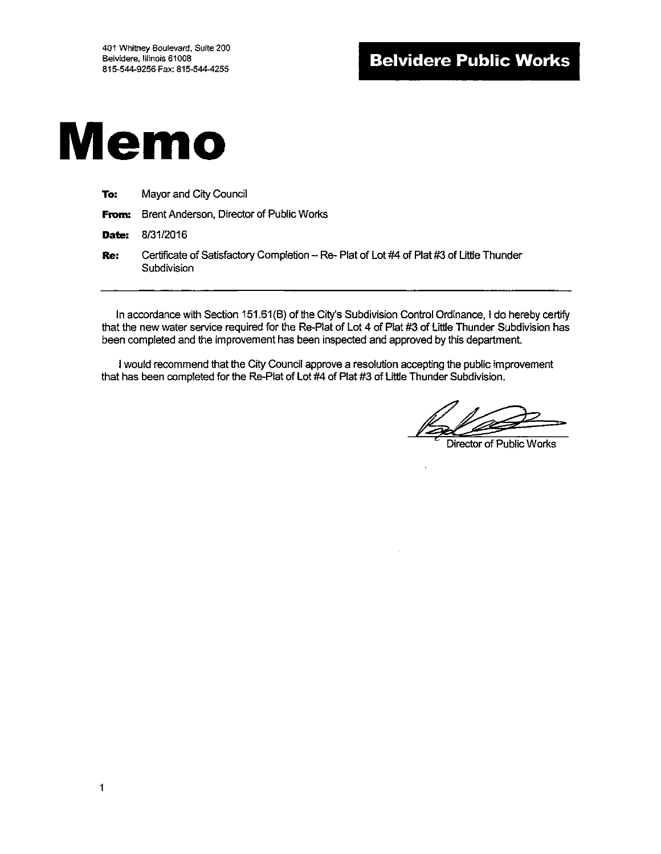# Memo

| To:   | Mayor and City Council                                                                                   |
|-------|----------------------------------------------------------------------------------------------------------|
|       | <b>From:</b> Brent Anderson, Director of Public Works                                                    |
| Date: | 8/31/2016                                                                                                |
| Re:   | Certificate of Satisfactory Completion -- Re- Plat of Lot #4 of Plat #3 of Little Thunder<br>Subdivision |

In accordance with Section 151.61(B) of the City's Subdivision Control Ordinance, I do hereby certify that the new water service required for the Re-Plat of Lot 4 of Plat #3 of Little Thunder Subdivision has been completed and the improvement has been inspected and approved by this department.

<sup>I</sup> would recommend that the City Council approve a resolution accepting the public improvement that has been completed for the Re-Plat of Lot #4 of Plat #3 of Little Thunder Subdivision.

Director of Public Works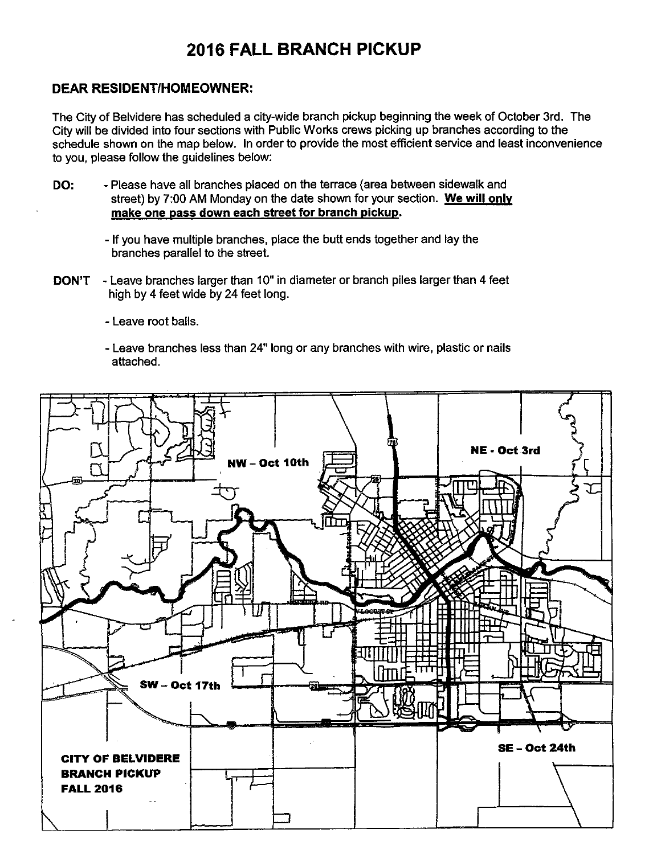# **2016 FALL BRANCH PICKUP**

### **DEAR RESIDENT/HOMEOWNER:**

The City of Belvidere has scheduled a city-wide branch pickup beginning the week of October 3rd. The City will be divided into four sections with Public Works crews picking up branches according to the schedule shown on the map below. In order to provide the most efficient service and least inconvenience to you, please follow the guidelines below:

- Please have all branches placed on the terrace (area between sidewalk and DO: street) by 7:00 AM Monday on the date shown for your section. We will only make one pass down each street for branch pickup.
	- If you have multiple branches, place the butt ends together and lay the branches parallel to the street.
- **DON'T** Leave branches larger than 10" in diameter or branch piles larger than 4 feet high by 4 feet wide by 24 feet long.
	- Leave root balls.
	- Leave branches less than 24" long or any branches with wire, plastic or nails attached.

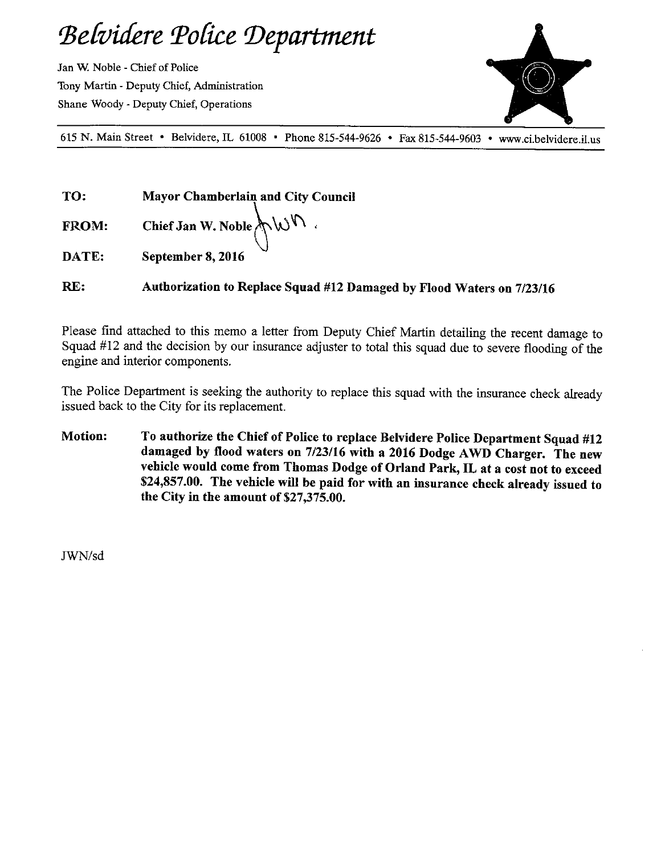# Belvidere Police Department

Jan W. Noble- Chief of Police Tony Martin- Deputy Chief, Administration Shane Woody- Deputy Chief, Operations



<sup>615</sup> N. Main Street • Belvidere, IL 61008 • Phone 815-544- 9626 • Fax 815- 544- <sup>9603</sup> www. ci.belvidere.il.us

TO: Mayor Chamberlain and City Council

FROM: Chief Jan W. Noble  $\bigwedge \cup \bigwedge$ 

DATE: September 8, 2016

RE: Authorization to Replace Squad #12 Damaged by Flood Waters on 7/23/16

Please find attached to this memo a letter from Deputy Chief Martin detailing the recent damage to Squad #12 and the decision by our insurance adjuster to total this squad due to severe flooding of the engine and interior components.

The Police Department is seeking the authority to replace this squad with the insurance check already issued back to the City for its replacement.

Motion: To authorize the Chief of Police to replace Belvidere Police Department Squad #12 damaged by flood waters on 7/23/16 with a 2016 Dodge AWD Charger. The new vehicle would come from Thomas Dodge of Orland Park, IL at a cost not to exceed 24,857.00. The vehicle will be paid for with an insurance check already issued to the City in the amount of \$27,375.00.

JWN/sd